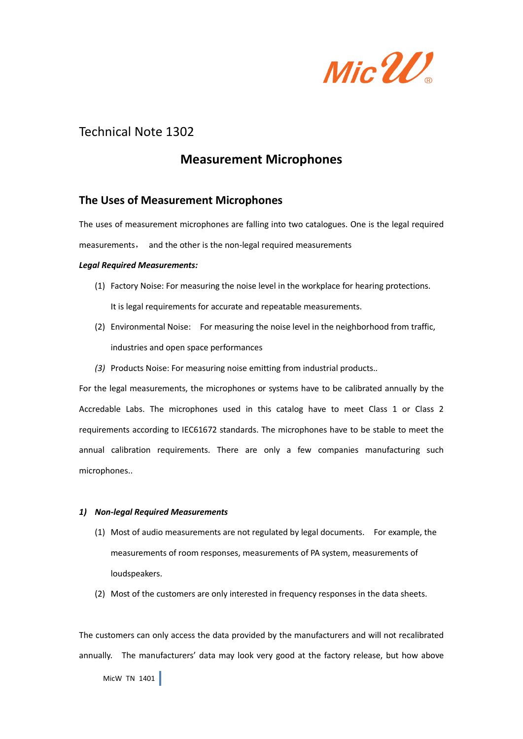

# Technical Note 1302

## **Measurement Microphones**

### **The Uses of Measurement Microphones**

The uses of measurement microphones are falling into two catalogues. One is the legal required

measurements, and the other is the non-legal required measurements

#### *Legal Required Measurements:*

- (1) Factory Noise: For measuring the noise level in the workplace for hearing protections. It is legal requirements for accurate and repeatable measurements.
- (2) Environmental Noise: For measuring the noise level in the neighborhood from traffic, industries and open space performances
- *(3)* Products Noise: For measuring noise emitting from industrial products.*.*

For the legal measurements, the microphones or systems have to be calibrated annually by the Accredable Labs. The microphones used in this catalog have to meet Class 1 or Class 2 requirements according to IEC61672 standards. The microphones have to be stable to meet the annual calibration requirements. There are only a few companies manufacturing such microphones..

#### *1) Non-legal Required Measurements*

- (1) Most of audio measurements are not regulated by legal documents. For example, the measurements of room responses, measurements of PA system, measurements of loudspeakers.
- (2) Most of the customers are only interested in frequency responses in the data sheets.

MicW TN 1401 The customers can only access the data provided by the manufacturers and will not recalibrated annually. The manufacturers' data may look very good at the factory release, but how above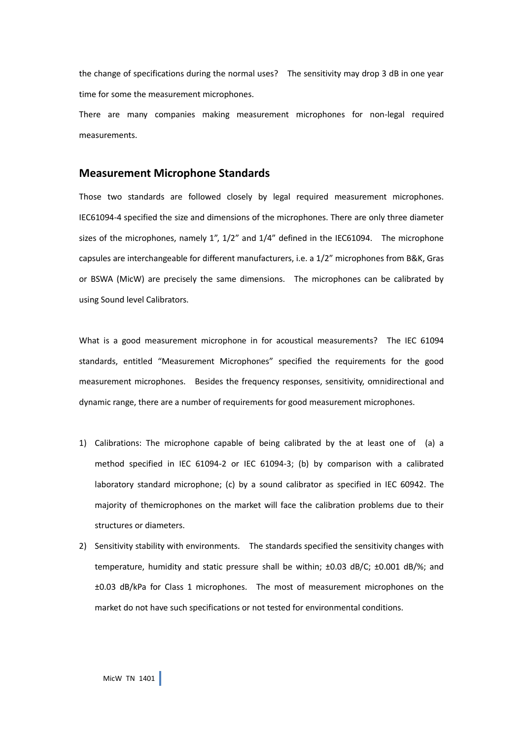the change of specifications during the normal uses? The sensitivity may drop 3 dB in one year time for some the measurement microphones.

There are many companies making measurement microphones for non-legal required measurements.

#### **Measurement Microphone Standards**

Those two standards are followed closely by legal required measurement microphones. IEC61094-4 specified the size and dimensions of the microphones. There are only three diameter sizes of the microphones, namely 1", 1/2" and 1/4" defined in the IEC61094. The microphone capsules are interchangeable for different manufacturers, i.e. a 1/2" microphones from B&K, Gras or BSWA (MicW) are precisely the same dimensions. The microphones can be calibrated by using Sound level Calibrators.

What is a good measurement microphone in for acoustical measurements? The IEC 61094 standards, entitled "Measurement Microphones" specified the requirements for the good measurement microphones. Besides the frequency responses, sensitivity, omnidirectional and dynamic range, there are a number of requirements for good measurement microphones.

- 1) Calibrations: The microphone capable of being calibrated by the at least one of (a) a method specified in IEC 61094-2 or IEC 61094-3; (b) by comparison with a calibrated laboratory standard microphone; (c) by a sound calibrator as specified in IEC 60942. The majority of themicrophones on the market will face the calibration problems due to their structures or diameters.
- 2) Sensitivity stability with environments. The standards specified the sensitivity changes with temperature, humidity and static pressure shall be within; ±0.03 dB/C; ±0.001 dB/%; and ±0.03 dB/kPa for Class 1 microphones. The most of measurement microphones on the market do not have such specifications or not tested for environmental conditions.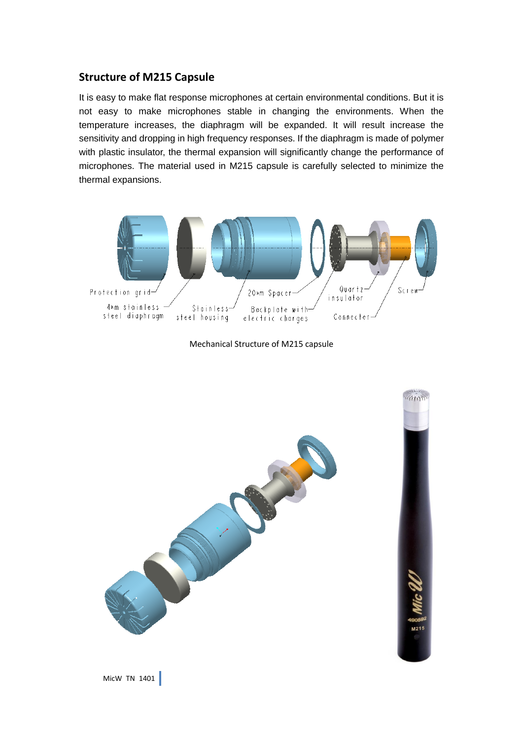## **Structure of M215 Capsule**

It is easy to make flat response microphones at certain environmental conditions. But it is not easy to make microphones stable in changing the environments. When the temperature increases, the diaphragm will be expanded. It will result increase the sensitivity and dropping in high frequency responses. If the diaphragm is made of polymer with plastic insulator, the thermal expansion will significantly change the performance of microphones. The material used in M215 capsule is carefully selected to minimize the thermal expansions.



Mechanical Structure of M215 capsule